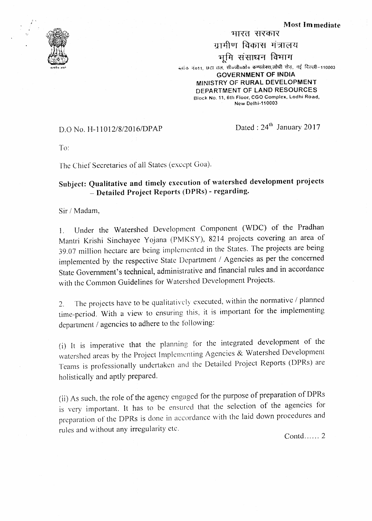



ग्रामीण विकास मंत्रालय भूमि संसाधन विभाग ब्लॉक नं611, छटा तल, सीठजी०ओ० कम्पलेक्स,लोधी रोड़, नई दिल्ली-110003 **GOVERNMENT OF INDIA** MINISTRY OF RURAL DEVELOPMENT DEPARTMENT OF LAND RESOURCES Block No. 11, 6th Floor, CGO Complex, Lodhi Road,

भारत सरकार

New Delhi-110003

## D.O No. H-11012/8/2016/DPAP

Dated : 24<sup>th</sup> January 2017

To:

The Chief Secretaries of all States (except Goa).

## Subject: Qualitative and timely execution of watershed development projects - Detailed Project Reports (DPRs) - regarding.

Sir / Madam,

Under the Watershed Development Component (WDC) of the Pradhan  $\mathbf{1}$ . Mantri Krishi Sinchayee Yojana (PMKSY), 8214 projects covering an area of 39.07 million hectare are being implemented in the States. The projects are being implemented by the respective State Department / Agencies as per the concerned State Government's technical, administrative and financial rules and in accordance with the Common Guidelines for Watershed Development Projects.

The projects have to be qualitatively executed, within the normative / planned  $2.$ time-period. With a view to ensuring this, it is important for the implementing department / agencies to adhere to the following:

(i) It is imperative that the planning for the integrated development of the watershed areas by the Project Implementing Agencies & Watershed Development Teams is professionally undertaken and the Detailed Project Reports (DPRs) are holistically and aptly prepared.

(ii) As such, the role of the agency engaged for the purpose of preparation of DPRs is very important. It has to be ensured that the selection of the agencies for preparation of the DPRs is done in accordance with the laid down procedures and rules and without any irregularity etc.

Contd......  $2$